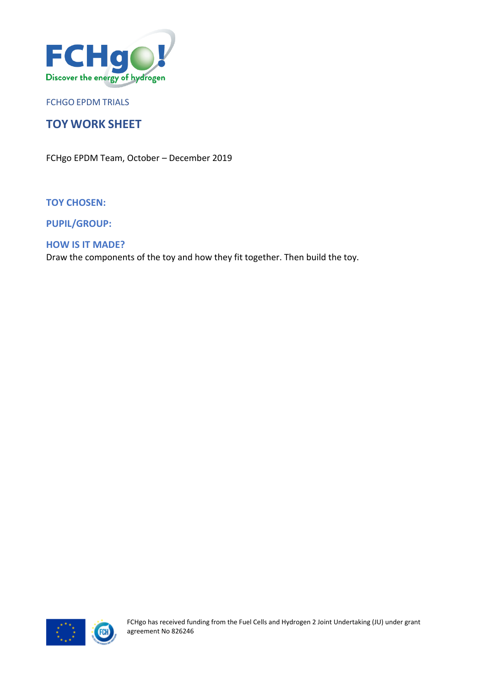

FCHGO EPDM TRIALS

# **TOY WORK SHEET**

FCHgo EPDM Team, October – December 2019

**TOY CHOSEN:**

**PUPIL/GROUP:**

### **HOW IS IT MADE?**

Draw the components of the toy and how they fit together. Then build the toy.

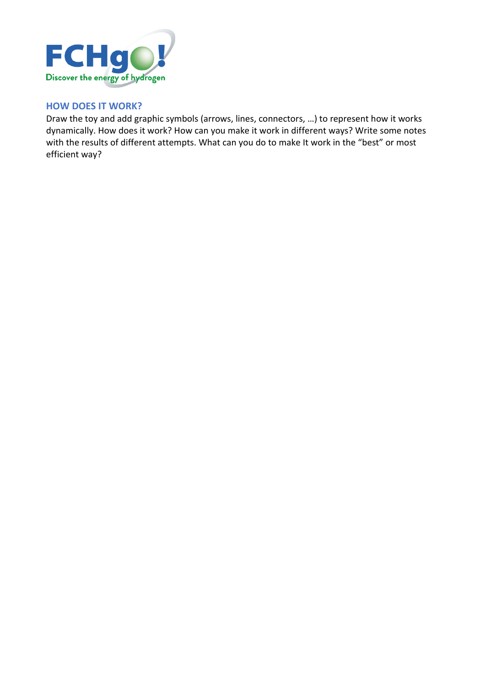

### **HOW DOES IT WORK?**

Draw the toy and add graphic symbols (arrows, lines, connectors, …) to represent how it works dynamically. How does it work? How can you make it work in different ways? Write some notes with the results of different attempts. What can you do to make It work in the "best" or most efficient way?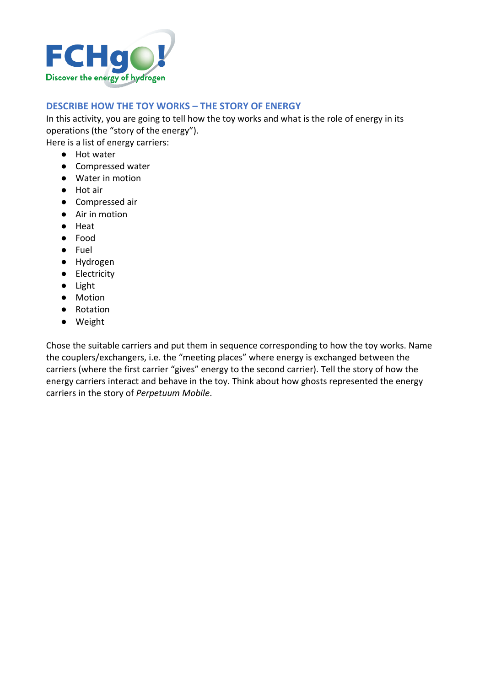

## **DESCRIBE HOW THE TOY WORKS – THE STORY OF ENERGY**

In this activity, you are going to tell how the toy works and what is the role of energy in its operations (the "story of the energy").

Here is a list of energy carriers:

- Hot water
- Compressed water
- Water in motion
- Hot air
- Compressed air
- Air in motion
- Heat
- Food
- Fuel
- Hydrogen
- Electricity
- Light
- Motion
- Rotation
- Weight

Chose the suitable carriers and put them in sequence corresponding to how the toy works. Name the couplers/exchangers, i.e. the "meeting places" where energy is exchanged between the carriers (where the first carrier "gives" energy to the second carrier). Tell the story of how the energy carriers interact and behave in the toy. Think about how ghosts represented the energy carriers in the story of *Perpetuum Mobile*.